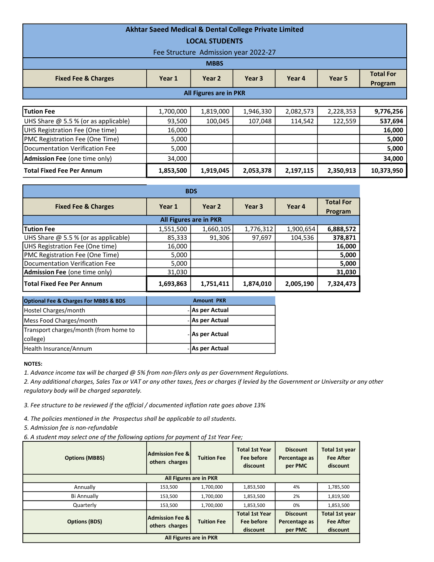| <b>Akhtar Saeed Medical &amp; Dental College Private Limited</b><br><b>LOCAL STUDENTS</b> |           |                               |                                      |           |           |                             |  |  |  |
|-------------------------------------------------------------------------------------------|-----------|-------------------------------|--------------------------------------|-----------|-----------|-----------------------------|--|--|--|
|                                                                                           |           |                               | Fee Structure Admission year 2022-27 |           |           |                             |  |  |  |
|                                                                                           |           | <b>MBBS</b>                   |                                      |           |           |                             |  |  |  |
| <b>Fixed Fee &amp; Charges</b>                                                            | Year 1    | Year 2                        | Year 3                               | Year 4    | Year 5    | <b>Total For</b><br>Program |  |  |  |
|                                                                                           |           |                               |                                      |           |           |                             |  |  |  |
|                                                                                           |           | <b>All Figures are in PKR</b> |                                      |           |           |                             |  |  |  |
|                                                                                           |           |                               |                                      |           |           |                             |  |  |  |
| <b>Tution Fee</b>                                                                         | 1,700,000 | 1,819,000                     | 1,946,330                            | 2,082,573 | 2,228,353 | 9,776,256                   |  |  |  |
| UHS Share @ 5.5 % (or as applicable)                                                      | 93,500    | 100,045                       | 107,048                              | 114,542   | 122,559   | 537,694                     |  |  |  |
| UHS Registration Fee (One time)                                                           | 16,000    |                               |                                      |           |           | 16,000                      |  |  |  |
| PMC Registration Fee (One Time)                                                           | 5,000     |                               |                                      |           |           | 5,000                       |  |  |  |
| Documentation Verification Fee                                                            | 5,000     |                               |                                      |           |           | 5,000                       |  |  |  |
| <b>Admission Fee (one time only)</b>                                                      | 34,000    |                               |                                      |           |           | 34,000                      |  |  |  |

Total Fixed Fee Per Annum 1,853,500 | 1,919,045 | 2,053,378 | 2,197,115 | 2,350,913 | 10,373,950

| <b>BDS</b>                             |           |           |           |           |                             |  |  |  |
|----------------------------------------|-----------|-----------|-----------|-----------|-----------------------------|--|--|--|
| <b>Fixed Fee &amp; Charges</b>         | Year 1    | Year 2    | Year 3    | Year 4    | <b>Total For</b><br>Program |  |  |  |
| <b>All Figures are in PKR</b>          |           |           |           |           |                             |  |  |  |
| <b>Tution Fee</b>                      | 1,551,500 | 1,660,105 | 1,776,312 | 1,900,654 | 6,888,572                   |  |  |  |
| UHS Share $@$ 5.5 % (or as applicable) | 85,333    | 91,306    | 97,697    | 104,536   | 378,871                     |  |  |  |
| UHS Registration Fee (One time)        | 16,000    |           |           |           | 16,000                      |  |  |  |
| PMC Registration Fee (One Time)        | 5,000     |           |           |           | 5,000                       |  |  |  |
| Documentation Verification Fee         | 5,000     |           |           |           | 5,000                       |  |  |  |
| Admission Fee (one time only)          | 31,030    |           |           |           | 31,030                      |  |  |  |
| <b>Total Fixed Fee Per Annum</b>       | 1,693,863 | 1,751,411 | 1,874,010 | 2,005,190 | 7,324,473                   |  |  |  |

| <b>Optional Fee &amp; Charges For MBBS &amp; BDS</b> | <b>Amount PKR</b> |                 |  |
|------------------------------------------------------|-------------------|-----------------|--|
| Hostel Charges/month                                 |                   | - As per Actual |  |
| Mess Food Charges/month                              |                   | - As per Actual |  |
| Transport charges/month (from home to<br>college)    |                   | - As per Actual |  |
| Health Insurance/Annum                               |                   | - As per Actual |  |

## NOTES:

1. Advance income tax will be charged @ 5% from non-filers only as per Government Regulations.

2. Any additional charges, Sales Tax or VAT or any other taxes, fees or charges if levied by the Government or University or any other regulatory body will be charged separately.

3. Fee structure to be reviewed if the official / documented inflation rate goes above 13%

4. The policies mentioned in the Prospectus shall be applicable to all students.

5. Admission fee is non-refundable

6. A student may select one of the following options for payment of 1st Year Fee;

| <b>Options (MBBS)</b>  | <b>Admission Fee &amp;l</b><br>others charges | <b>Tuition Fee</b> | <b>Total 1st Year</b><br><b>Fee before</b><br>discount | <b>Discount</b><br>Percentage as<br>per PMC | <b>Total 1st year</b><br><b>Fee After</b><br>discount |  |
|------------------------|-----------------------------------------------|--------------------|--------------------------------------------------------|---------------------------------------------|-------------------------------------------------------|--|
| All Figures are in PKR |                                               |                    |                                                        |                                             |                                                       |  |
| Annually               | 153,500                                       | 1,700,000          | 1,853,500                                              | 4%                                          | 1,785,500                                             |  |
| Bi Annually            | 153,500                                       | 1,700,000          | 1,853,500                                              | 2%                                          | 1,819,500                                             |  |
| Quarterly              | 153,500                                       | 1,700,000          | 1,853,500                                              | 0%                                          | 1,853,500                                             |  |
|                        | Admission Fee &l                              |                    | <b>Total 1st Year</b>                                  | <b>Discount</b>                             | Total 1st year                                        |  |
| <b>Options (BDS)</b>   | others charges                                | <b>Tuition Fee</b> | Fee before                                             | Percentage as                               | <b>Fee After</b>                                      |  |
|                        |                                               |                    | discount                                               | per PMC                                     | discount                                              |  |
| All Figures are in PKR |                                               |                    |                                                        |                                             |                                                       |  |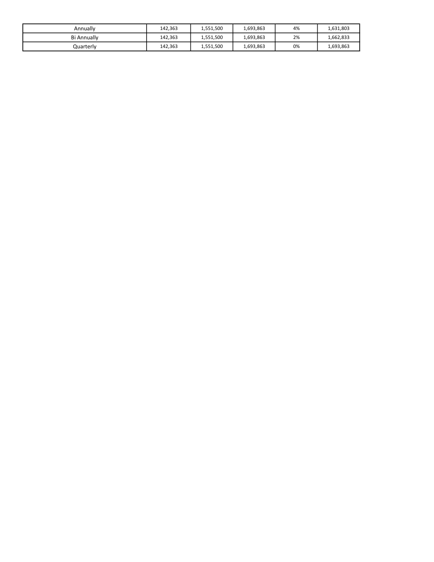| Annually    | 142.363 | 1,551,500 | 1,693,863 | 4% | 1,631,803 |
|-------------|---------|-----------|-----------|----|-----------|
| Bi Annually | 142.363 | 1,551,500 | 1,693,863 | 2% | 1,662,833 |
| Quarterly   | 142,363 | 1,551,500 | 1,693,863 | 0% | 1,693,863 |